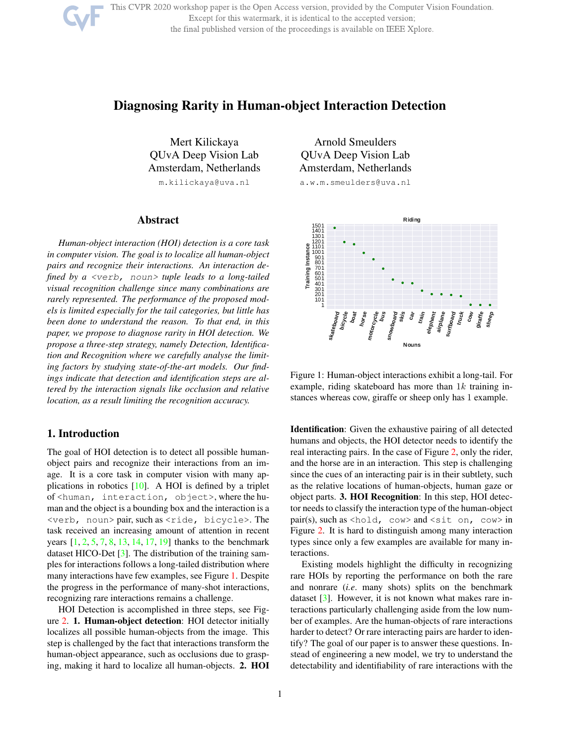This CVPR 2020 workshop paper is the Open Access version, provided by the Computer Vision Foundation. Except for this watermark, it is identical to the accepted version; the final published version of the proceedings is available on IEEE Xplore.

# Diagnosing Rarity in Human-object Interaction Detection

Mert Kilickaya QUvA Deep Vision Lab Amsterdam, Netherlands m.kilickaya@uva.nl

### Abstract

*Human-object interaction (HOI) detection is a core task in computer vision. The goal is to localize all human-object pairs and recognize their interactions. An interaction defined by a* <verb, noun> *tuple leads to a long-tailed visual recognition challenge since many combinations are rarely represented. The performance of the proposed models is limited especially for the tail categories, but little has been done to understand the reason. To that end, in this paper, we propose to diagnose rarity in HOI detection. We propose a three-step strategy, namely Detection, Identification and Recognition where we carefully analyse the limiting factors by studying state-of-the-art models. Our findings indicate that detection and identification steps are altered by the interaction signals like occlusion and relative location, as a result limiting the recognition accuracy.*

### 1. Introduction

The goal of HOI detection is to detect all possible humanobject pairs and recognize their interactions from an image. It is a core task in computer vision with many applications in robotics [10]. A HOI is defined by a triplet of <human, interaction, object>, where the human and the object is a bounding box and the interaction is a <verb, noun> pair, such as <ride, bicycle>. The task received an increasing amount of attention in recent years [1, 2, 5, 7, 8, 13, 14, 17, 19] thanks to the benchmark dataset HICO-Det [3]. The distribution of the training samples for interactions follows a long-tailed distribution where many interactions have few examples, see Figure 1. Despite the progress in the performance of many-shot interactions, recognizing rare interactions remains a challenge.

HOI Detection is accomplished in three steps, see Figure 2. 1. Human-object detection: HOI detector initially localizes all possible human-objects from the image. This step is challenged by the fact that interactions transform the human-object appearance, such as occlusions due to grasping, making it hard to localize all human-objects. 2. HOI

Arnold Smeulders QUvA Deep Vision Lab Amsterdam, Netherlands

a.w.m.smeulders@uva.nl



Figure 1: Human-object interactions exhibit a long-tail. For example, riding skateboard has more than  $1k$  training instances whereas cow, giraffe or sheep only has 1 example.

Identification: Given the exhaustive pairing of all detected humans and objects, the HOI detector needs to identify the real interacting pairs. In the case of Figure 2, only the rider, and the horse are in an interaction. This step is challenging since the cues of an interacting pair is in their subtlety, such as the relative locations of human-objects, human gaze or object parts. 3. HOI Recognition: In this step, HOI detector needs to classify the interaction type of the human-object pair(s), such as <hold,  $\cos \theta$  and <sit on,  $\cos \theta$  in Figure 2. It is hard to distinguish among many interaction types since only a few examples are available for many interactions.

Existing models highlight the difficulty in recognizing rare HOIs by reporting the performance on both the rare and nonrare (*i.e*. many shots) splits on the benchmark dataset [3]. However, it is not known what makes rare interactions particularly challenging aside from the low number of examples. Are the human-objects of rare interactions harder to detect? Or rare interacting pairs are harder to identify? The goal of our paper is to answer these questions. Instead of engineering a new model, we try to understand the detectability and identifiability of rare interactions with the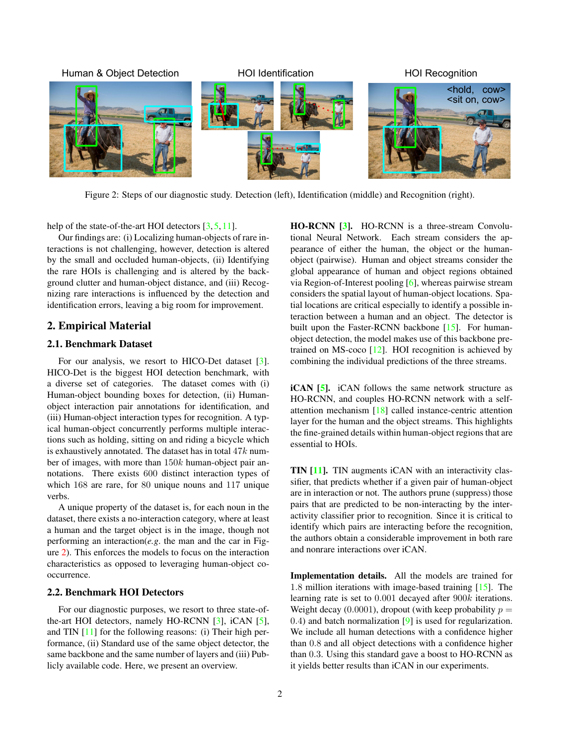

Figure 2: Steps of our diagnostic study. Detection (left), Identification (middle) and Recognition (right).

help of the state-of-the-art HOI detectors [3, 5, 11].

Our findings are: (i) Localizing human-objects of rare interactions is not challenging, however, detection is altered by the small and occluded human-objects, (ii) Identifying the rare HOIs is challenging and is altered by the background clutter and human-object distance, and (iii) Recognizing rare interactions is influenced by the detection and identification errors, leaving a big room for improvement.

#### 2. Empirical Material

#### 2.1. Benchmark Dataset

For our analysis, we resort to HICO-Det dataset [3]. HICO-Det is the biggest HOI detection benchmark, with a diverse set of categories. The dataset comes with (i) Human-object bounding boxes for detection, (ii) Humanobject interaction pair annotations for identification, and (iii) Human-object interaction types for recognition. A typical human-object concurrently performs multiple interactions such as holding, sitting on and riding a bicycle which is exhaustively annotated. The dataset has in total  $47k$  number of images, with more than 150k human-object pair annotations. There exists 600 distinct interaction types of which 168 are rare, for 80 unique nouns and 117 unique verbs.

A unique property of the dataset is, for each noun in the dataset, there exists a no-interaction category, where at least a human and the target object is in the image, though not performing an interaction(*e.g*. the man and the car in Figure 2). This enforces the models to focus on the interaction characteristics as opposed to leveraging human-object cooccurrence.

#### 2.2. Benchmark HOI Detectors

For our diagnostic purposes, we resort to three state-ofthe-art HOI detectors, namely HO-RCNN [3], iCAN [5], and TIN [11] for the following reasons: (i) Their high performance, (ii) Standard use of the same object detector, the same backbone and the same number of layers and (iii) Publicly available code. Here, we present an overview.

HO-RCNN [3]. HO-RCNN is a three-stream Convolutional Neural Network. Each stream considers the appearance of either the human, the object or the humanobject (pairwise). Human and object streams consider the global appearance of human and object regions obtained via Region-of-Interest pooling [6], whereas pairwise stream considers the spatial layout of human-object locations. Spatial locations are critical especially to identify a possible interaction between a human and an object. The detector is built upon the Faster-RCNN backbone [15]. For humanobject detection, the model makes use of this backbone pretrained on MS-coco  $[12]$ . HOI recognition is achieved by combining the individual predictions of the three streams.

iCAN [5]. iCAN follows the same network structure as HO-RCNN, and couples HO-RCNN network with a selfattention mechanism [18] called instance-centric attention layer for the human and the object streams. This highlights the fine-grained details within human-object regions that are essential to HOIs.

TIN [11]. TIN augments iCAN with an interactivity classifier, that predicts whether if a given pair of human-object are in interaction or not. The authors prune (suppress) those pairs that are predicted to be non-interacting by the interactivity classifier prior to recognition. Since it is critical to identify which pairs are interacting before the recognition, the authors obtain a considerable improvement in both rare and nonrare interactions over iCAN.

Implementation details. All the models are trained for 1.8 million iterations with image-based training [15]. The learning rate is set to 0.001 decayed after 900k iterations. Weight decay (0.0001), dropout (with keep probability  $p =$ 0.4) and batch normalization [9] is used for regularization. We include all human detections with a confidence higher than 0.8 and all object detections with a confidence higher than 0.3. Using this standard gave a boost to HO-RCNN as it yields better results than iCAN in our experiments.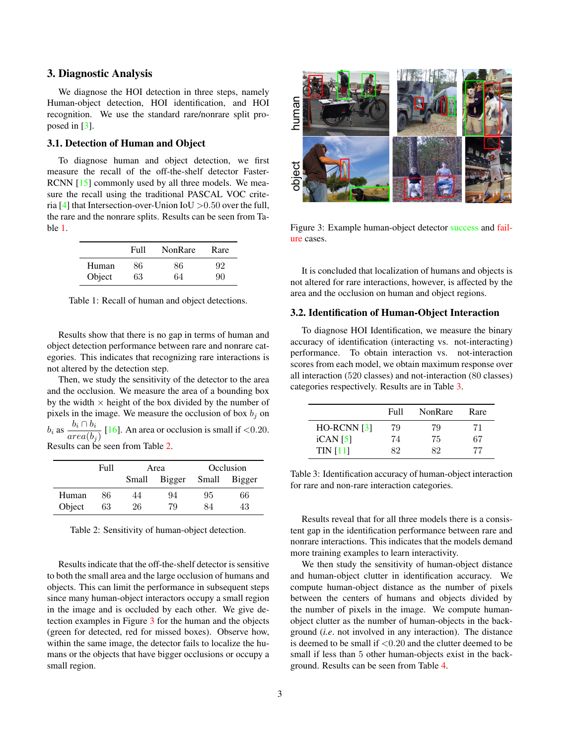#### 3. Diagnostic Analysis

We diagnose the HOI detection in three steps, namely Human-object detection, HOI identification, and HOI recognition. We use the standard rare/nonrare split proposed in [3].

#### 3.1. Detection of Human and Object

To diagnose human and object detection, we first measure the recall of the off-the-shelf detector Faster-RCNN [15] commonly used by all three models. We measure the recall using the traditional PASCAL VOC criteria [4] that Intersection-over-Union IoU  $>0.50$  over the full, the rare and the nonrare splits. Results can be seen from Table 1.

|        | Full | NonRare | Rare |
|--------|------|---------|------|
| Human  | 86   | 86      | 92   |
| Object | 63   | 64      | 90   |

Table 1: Recall of human and object detections.

Results show that there is no gap in terms of human and object detection performance between rare and nonrare categories. This indicates that recognizing rare interactions is not altered by the detection step.

Then, we study the sensitivity of the detector to the area and the occlusion. We measure the area of a bounding box by the width  $\times$  height of the box divided by the number of pixels in the image. We measure the occlusion of box  $b_i$  on  $b_i$  as  $\frac{b_i \cap b_i}{\cdots}$  $\frac{a_1 + b_1}{area(b_j)}$  [16]. An area or occlusion is small if <0.20. Results can be seen from Table 2.

|        | Full |       | Area   | Occlusion |              |  |
|--------|------|-------|--------|-----------|--------------|--|
|        |      | Small | Bigger |           | Small Bigger |  |
| Human  | 86   | 44    | 94     | 95        | 66           |  |
| Object | 63   | 26    | 79     | 84        | 43           |  |

Table 2: Sensitivity of human-object detection.

Results indicate that the off-the-shelf detector is sensitive to both the small area and the large occlusion of humans and objects. This can limit the performance in subsequent steps since many human-object interactors occupy a small region in the image and is occluded by each other. We give detection examples in Figure 3 for the human and the objects (green for detected, red for missed boxes). Observe how, within the same image, the detector fails to localize the humans or the objects that have bigger occlusions or occupy a small region.



Figure 3: Example human-object detector success and failure cases.

It is concluded that localization of humans and objects is not altered for rare interactions, however, is affected by the area and the occlusion on human and object regions.

#### 3.2. Identification of Human-Object Interaction

To diagnose HOI Identification, we measure the binary accuracy of identification (interacting vs. not-interacting) performance. To obtain interaction vs. not-interaction scores from each model, we obtain maximum response over all interaction (520 classes) and not-interaction (80 classes) categories respectively. Results are in Table 3.

|                  | Full | NonRare | Rare |
|------------------|------|---------|------|
| $HO$ -RCNN $[3]$ | 79   | 79      | 71   |
| iCAN [5]         | 74   | 75      | 67   |
| <b>TIN</b> [11]  | 82   | 89      | 77   |

Table 3: Identification accuracy of human-object interaction for rare and non-rare interaction categories.

Results reveal that for all three models there is a consistent gap in the identification performance between rare and nonrare interactions. This indicates that the models demand more training examples to learn interactivity.

We then study the sensitivity of human-object distance and human-object clutter in identification accuracy. We compute human-object distance as the number of pixels between the centers of humans and objects divided by the number of pixels in the image. We compute humanobject clutter as the number of human-objects in the background (*i.e*. not involved in any interaction). The distance is deemed to be small if  $\leq 0.20$  and the clutter deemed to be small if less than 5 other human-objects exist in the background. Results can be seen from Table 4.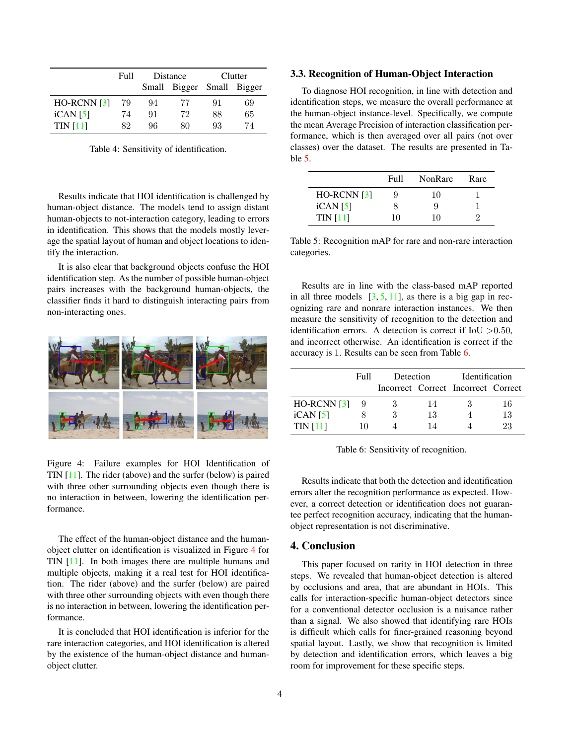|                  | Full | Distance |                           | Clutter |    |
|------------------|------|----------|---------------------------|---------|----|
|                  |      |          | Small Bigger Small Bigger |         |    |
| $HO$ -RCNN $[3]$ | 79   | 94       | 77                        | 91      | 69 |
| iCAN [5]         | 74   | 91       | 72                        | 88      | 65 |
| <b>TIN</b> [11]  | 82   | 96       | 80                        | 93      | 74 |

Table 4: Sensitivity of identification.

Results indicate that HOI identification is challenged by human-object distance. The models tend to assign distant human-objects to not-interaction category, leading to errors in identification. This shows that the models mostly leverage the spatial layout of human and object locations to identify the interaction.

It is also clear that background objects confuse the HOI identification step. As the number of possible human-object pairs increases with the background human-objects, the classifier finds it hard to distinguish interacting pairs from non-interacting ones.



Figure 4: Failure examples for HOI Identification of TIN [11]. The rider (above) and the surfer (below) is paired with three other surrounding objects even though there is no interaction in between, lowering the identification performance.

The effect of the human-object distance and the humanobject clutter on identification is visualized in Figure 4 for TIN [11]. In both images there are multiple humans and multiple objects, making it a real test for HOI identification. The rider (above) and the surfer (below) are paired with three other surrounding objects with even though there is no interaction in between, lowering the identification performance.

It is concluded that HOI identification is inferior for the rare interaction categories, and HOI identification is altered by the existence of the human-object distance and humanobject clutter.

#### 3.3. Recognition of Human-Object Interaction

To diagnose HOI recognition, in line with detection and identification steps, we measure the overall performance at the human-object instance-level. Specifically, we compute the mean Average Precision of interaction classification performance, which is then averaged over all pairs (not over classes) over the dataset. The results are presented in Table 5.

|                  | Full | NonRare | Rare |
|------------------|------|---------|------|
| $HO$ -RCNN $[3]$ | 9    | 10      |      |
| iCAN [5]         | x    | 9       |      |
| <b>TIN</b> [11]  | 10   | 10      |      |

Table 5: Recognition mAP for rare and non-rare interaction categories.

Results are in line with the class-based mAP reported in all three models  $[3, 5, 11]$ , as there is a big gap in recognizing rare and nonrare interaction instances. We then measure the sensitivity of recognition to the detection and identification errors. A detection is correct if  $IoU > 0.50$ , and incorrect otherwise. An identification is correct if the accuracy is 1. Results can be seen from Table 6.

|                  | Full | Detection |    | Identification                      |    |
|------------------|------|-----------|----|-------------------------------------|----|
|                  |      |           |    | Incorrect Correct Incorrect Correct |    |
| $HO$ -RCNN $[3]$ |      |           | 14 |                                     | 16 |
| iCAN [5]         |      | 3         | 13 |                                     | 13 |
| <b>TIN</b> [11]  | 10   |           | 14 |                                     | 23 |

Table 6: Sensitivity of recognition.

Results indicate that both the detection and identification errors alter the recognition performance as expected. However, a correct detection or identification does not guarantee perfect recognition accuracy, indicating that the humanobject representation is not discriminative.

#### 4. Conclusion

This paper focused on rarity in HOI detection in three steps. We revealed that human-object detection is altered by occlusions and area, that are abundant in HOIs. This calls for interaction-specific human-object detectors since for a conventional detector occlusion is a nuisance rather than a signal. We also showed that identifying rare HOIs is difficult which calls for finer-grained reasoning beyond spatial layout. Lastly, we show that recognition is limited by detection and identification errors, which leaves a big room for improvement for these specific steps.